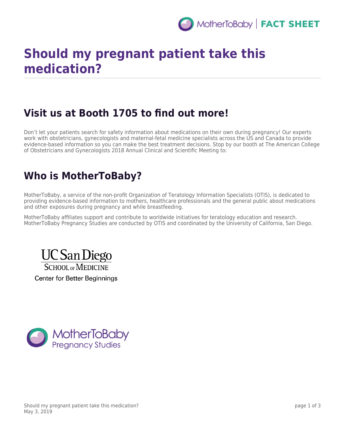

# **Should my pregnant patient take this medication?**

### **Visit us at Booth 1705 to find out more!**

Don't let your patients search for safety information about medications on their own during pregnancy! Our experts work with obstetricians, gynecologists and maternal-fetal medicine specialists across the US and Canada to provide evidence-based information so you can make the best treatment decisions. Stop by our booth at The American College of Obstetricians and Gynecologists 2018 Annual Clinical and Scientific Meeting to:

## **Who is MotherToBaby?**

MotherToBaby, a service of the non-profit Organization of Teratology Information Specialists (OTIS), is dedicated to providing evidence-based information to mothers, healthcare professionals and the general public about medications and other exposures during pregnancy and while breastfeeding.

MotherToBaby affiliates support and contribute to worldwide initiatives for teratology education and research. MotherToBaby Pregnancy Studies are conducted by OTIS and coordinated by the University of California, San Diego.



Center for Better Beginnings

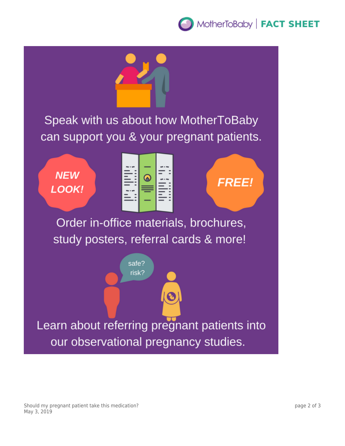## MotherToBaby | FACT SHEET

Speak with us about how MotherToBaby can support you & your pregnant patients.

**NEW** LOOK!



**FREE!** 

Order in-office materials, brochures, study posters, referral cards & more!



Should my pregnant patient take this medication? May 3, 2019